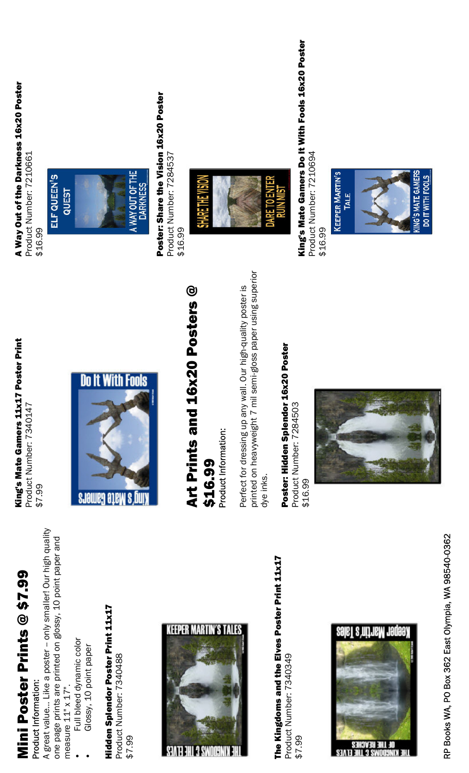| Ć<br>ľ<br>Ļ |               |
|-------------|---------------|
| I<br>ŗ      |               |
| Q           |               |
| í           |               |
| ı           |               |
|             | $\frac{1}{1}$ |
|             |               |
| ı<br>Г      |               |
|             |               |

### Product Information: Product Information:

A great value… Like a poster -- only smaller! Our high quality A great value... Like a poster -- only smaller! Our high quality one page prints are printed on glossy, 10 point paper and one page prints are printed on glossy, 10 point paper and measure  $11" \times 17"$ . measure  $11" \times 17"$ .

- Full bleed dynamic color Full bleed dynamic color
	- Glossy, 10 point paper Glossy, 10 point paper

Hidden Splendor Poster Print 11x17 Hidden Splendor Poster Print 11x17 Product Number: 7340488 Product Number: 7340488 \$7.99



The Kingdoms and the Elves Poster Print 11x17 The Kingdoms and the Elves Poster Print 11x17 Product Number: 7340349 Product Number: 7340349 \$7.99



### King's Mate Gamers 11x17 Poster Print King's Mate Gamers 11x17 Poster Print Product Number: 7340147 Product Number: 7340147

\$7.99



### Art Prints and 16x20 Posters @ Art Prints and 16x20 Posters @ \$16.99

Product Information: Product Information:

printed on heavyweight 7 mil semi-gloss paper using superior printed on heavyweight 7 mil semi-gloss paper using superior Perfect for dressing up any wall. Our high-quality poster is Perfect for dressing up any wall. Our high-quality poster is dye inks.

Poster: Hidden Splendor 16x20 Poster Poster: Hidden Splendor 16x20 Poster Product Number: 7284503 Product Number: 7284503



## A Way Out of the Darkness 16x20 Poster A Way Out of the Darkness 16x20 Poster

Product Number: 7210661 Product Number: 7210661 \$16.99

### ELF QUEEN'S



### Poster: Share the Vision 16x20 Poster Poster: Share the Vision 16x20 Poster

Product Number: 7284537 Product Number: 7284537 \$16.99



King's Mate Gamers Do It With Fools 16x20 Poster King's Mate Gamers Do It With Fools 16x20 Poster Product Number: 7210694 Product Number: 7210694 \$16.99



**KING'S MATE GAMERS DO IT WITH FOOLS** 

> RP Books WA, PO Box 362 East Olympia, WA 98540-0362 RP Books WA, PO Box 362 East OIympia, WA 98540-0362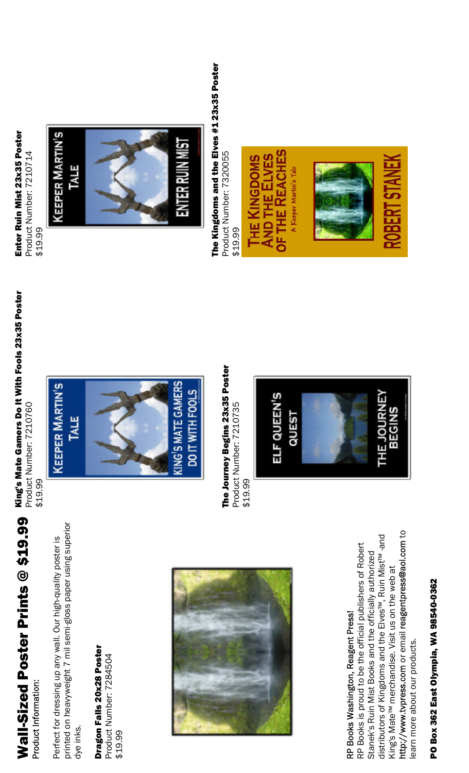# Wall-Sized Poster Prints @ \$19.99 Wall-Sized Poster Prints @ \$19.99

Product Information: Product Information:

printed on heavyweight 7 mil semi-gloss paper using superior printed on heavyweight 7 mil semi-gloss paper using superior Perfect for dressing up any wall. Our high-quality poster is Perfect for dressing up any wall. Our high-quality poster is dye inks.

Dragon Falls 20x28 Poster Dragon Falls 20x28 Poster Product Number: 7284504

Product Number: 7284504 \$19.99



### RP Books Washington, Reagent Press! RP Books Washington, Reagent Press!

http://www.tvpress.com or email reagentpress@aol.com to http://www.tvpress.com or email reagentpress@aol.com to distributors of Kingdoms and the Elves™, Ruin Mist™ -and distributors of Kingdoms and the Elves<sup>tw</sup>, Ruin Mist<sup>tw</sup> -and RP Books is proud to be the official publishers of Robert RP Books is proud to be the official publishers of Robert Stanek's Ruin Mist Books and the officially authorized Stanek's Ruin Mist Books and the officially authorized King's Mate™ merchandise. Visit us on the web at King's Mate<sup>TM</sup> merchandise. Visit us on the web at learn more about our products. earn more about our products.

## PO Box 362 East Olympia, WA 98540-0362 PO Box 362 East Olympia, WA 98540-0362

# King's Mate Gamers Do It With Fools 23x35 Poster King's Mate Gamers Do It With Fools 23x35 Poster

Product Number: 7210760 Product Number: 7210760 \$19.99



The Journey Begins 23x35 Poster The Journey Begins 23x35 Poster Product Number: 7210735 Product Number: 7210735 \$19.99



### Enter Ruin Mist 23x35 Poster Enter Ruin Mist 23x35 Poster

Product Number: 7210714 Product Number: 7210714 \$19.99





The Kingdoms and the Elves #1 23x35 Poster The Kingdoms and the Elves #1 23x35 Poster Product Number: 7320055 Product Number: 7320055 \$19.99





OBER